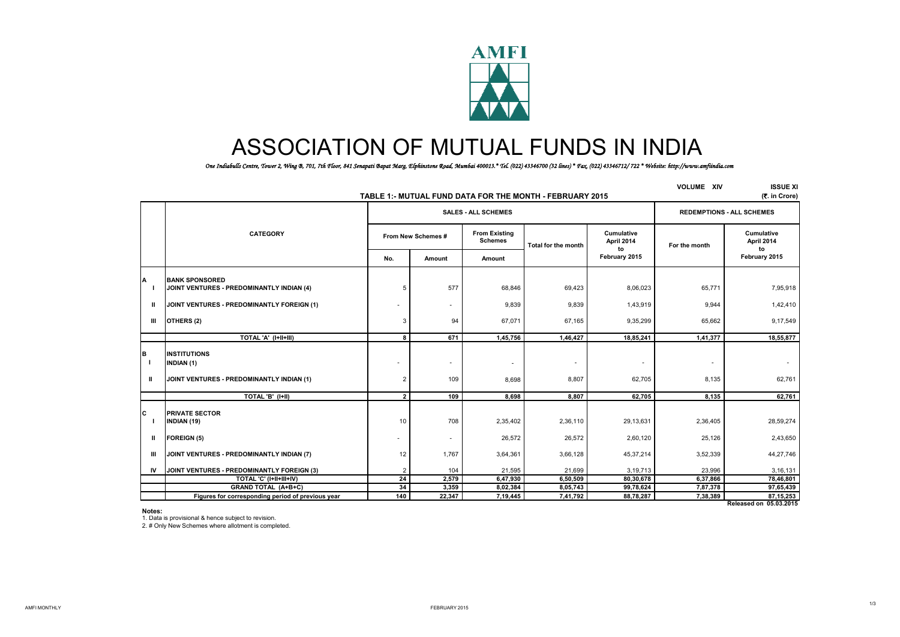

# ASSOCIATION OF MUTUAL FUNDS IN INDIA

*One Indiabulls Centre, Tower 2, Wing B, 701, 7th Floor, 841 Senapati Bapat Marg, Elphinstone Road, Mumbai 400013.\* Tel. (022) 43346700 (32 lines) \* Fax. (022) 43346712/ 722 \* Website: http://www.amfiindia.com*

|                        | TABLE 1:- MUTUAL FUND DATA FOR THE MONTH - FEBRUARY 2015                       | <b>VOLUME XIV</b> | <b>ISSUE XI</b><br>(₹. in Crore) |                                        |                     |                                |               |                                       |
|------------------------|--------------------------------------------------------------------------------|-------------------|----------------------------------|----------------------------------------|---------------------|--------------------------------|---------------|---------------------------------------|
|                        |                                                                                |                   | <b>REDEMPTIONS - ALL SCHEMES</b> |                                        |                     |                                |               |                                       |
|                        | <b>CATEGORY</b>                                                                |                   | From New Schemes #               | <b>From Existing</b><br><b>Schemes</b> | Total for the month | Cumulative<br>April 2014<br>to | For the month | Cumulative<br>April 2014<br>to        |
|                        |                                                                                | No.               | Amount                           | Amount                                 |                     | February 2015                  |               | February 2015                         |
| А<br>L.                | <b>BANK SPONSORED</b><br>JOINT VENTURES - PREDOMINANTLY INDIAN (4)             | 5                 | 577                              | 68,846                                 | 69,423              | 8,06,023                       | 65,771        | 7,95,918                              |
| Ш                      | JOINT VENTURES - PREDOMINANTLY FOREIGN (1)                                     |                   | ٠                                | 9,839                                  | 9,839               | 1,43,919                       | 9,944         | 1,42,410                              |
| Ш                      | OTHERS (2)                                                                     | 3                 | 94                               | 67,071                                 | 67,165              | 9,35,299                       | 65,662        | 9,17,549                              |
|                        | TOTAL 'A' (I+II+III)                                                           | 8                 | 671                              | 1,45,756                               | 1,46,427            | 18,85,241                      | 1,41,377      | 18,55,877                             |
| в<br>$\mathbf{I}$<br>ш | <b>INSTITUTIONS</b><br>INDIAN (1)<br>JOINT VENTURES - PREDOMINANTLY INDIAN (1) | $\overline{2}$    | ٠<br>109                         | ٠<br>8,698                             | 8,807               | ٠<br>62,705                    | ٠<br>8,135    | 62,761                                |
|                        | TOTAL 'B' (I+II)                                                               | $\overline{2}$    | 109                              | 8,698                                  | 8,807               | 62,705                         | 8,135         | 62,761                                |
| c<br>-1                | <b>PRIVATE SECTOR</b><br><b>INDIAN (19)</b>                                    | 10                | 708                              | 2,35,402                               | 2,36,110            | 29,13,631                      | 2,36,405      | 28,59,274                             |
| $\mathbf{u}$           | <b>FOREIGN (5)</b>                                                             | ٠                 | ٠                                | 26,572                                 | 26,572              | 2,60,120                       | 25,126        | 2,43,650                              |
| ш                      | JOINT VENTURES - PREDOMINANTLY INDIAN (7)                                      | 12                | 1,767                            | 3,64,361                               | 3,66,128            | 45, 37, 214                    | 3,52,339      | 44,27,746                             |
| IV                     | JOINT VENTURES - PREDOMINANTLY FOREIGN (3)                                     | $\overline{2}$    | 104                              | 21,595                                 | 21,699              | 3,19,713                       | 23,996        | 3,16,131                              |
|                        | TOTAL 'C' (I+II+III+IV)                                                        | 24                | 2,579                            | 6,47,930                               | 6,50,509            | 80,30,678                      | 6,37,866      | 78,46,801                             |
|                        | <b>GRAND TOTAL (A+B+C)</b>                                                     | 34                | 3,359                            | 8,02,384                               | 8,05,743            | 99,78,624                      | 7,87,378      | 97,65,439                             |
|                        | Figures for corresponding period of previous year                              | 140               | 22,347                           | 7,19,445                               | 7,41,792            | 88,78,287                      | 7,38,389      | 87, 15, 253<br>Released on 05.03.2015 |

**Notes:**

1. Data is provisional & hence subject to revision.

2. # Only New Schemes where allotment is completed.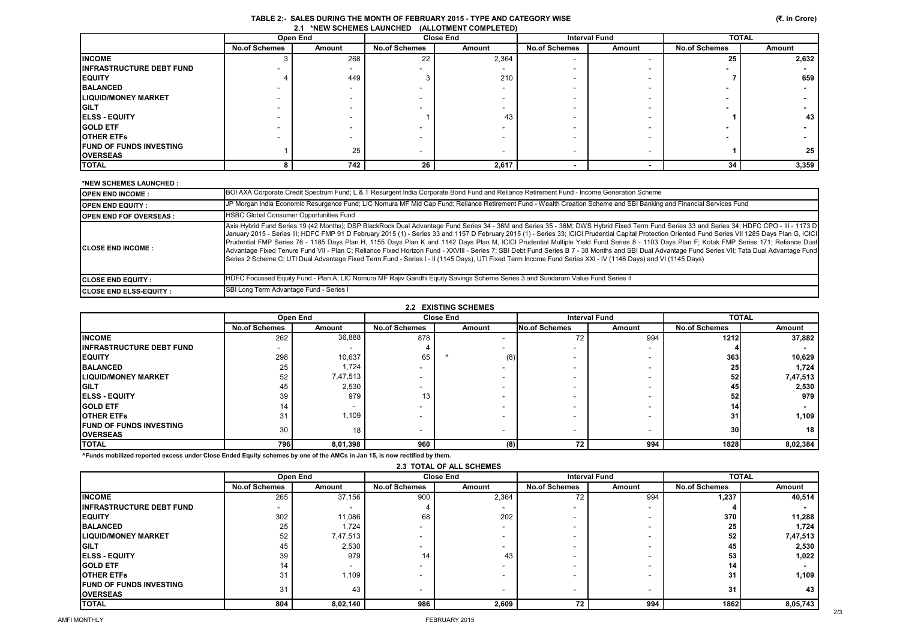|                                                 | TABLE 2:- SALES DURING THE MONTH OF FEBRUARY 2015 - TYPE AND CATEGORY WISE |  |
|-------------------------------------------------|----------------------------------------------------------------------------|--|
| 2.1 *NEW SCHEMES LAUNCHED (ALLOTMENT COMPLETED) |                                                                            |  |

|                                  | Open End             |                          | <b>Close End</b>         |        | <b>Interval Fund</b>     |        | <b>TOTAL</b>         |        |
|----------------------------------|----------------------|--------------------------|--------------------------|--------|--------------------------|--------|----------------------|--------|
|                                  | <b>No.of Schemes</b> | Amount                   | <b>No.of Schemes</b>     | Amount | <b>No.of Schemes</b>     | Amount | <b>No.of Schemes</b> | Amount |
| <b>INCOME</b>                    |                      | 268                      | 22                       | 2,364  | $\overline{\phantom{0}}$ |        | 25                   | 2,632  |
| <b>IINFRASTRUCTURE DEBT FUND</b> |                      | $\overline{\phantom{a}}$ |                          |        | $\overline{\phantom{0}}$ |        |                      |        |
| <b>EQUITY</b>                    |                      | 449                      |                          | 210    |                          |        |                      | 659    |
| <b>BALANCED</b>                  |                      |                          |                          |        |                          |        |                      |        |
| <b>LIQUID/MONEY MARKET</b>       |                      |                          |                          |        |                          |        |                      |        |
| <b>IGILT</b>                     |                      |                          |                          |        |                          |        |                      |        |
| <b>ELSS - EQUITY</b>             |                      |                          |                          | 43     | $\overline{\phantom{0}}$ |        |                      | 43     |
| <b>GOLD ETF</b>                  |                      |                          |                          |        |                          |        |                      |        |
| <b>OTHER ETFS</b>                |                      |                          |                          |        |                          |        |                      |        |
| <b>FUND OF FUNDS INVESTING</b>   |                      | 25                       | $\overline{\phantom{a}}$ |        | $\overline{\phantom{0}}$ |        |                      | 25     |
| <b>OVERSEAS</b>                  |                      |                          |                          |        |                          |        |                      |        |
| <b>TOTAL</b>                     |                      | 742                      | 26                       | 2,617  |                          |        | 34                   | 3,359  |

## **\*NEW SCHEMES LAUNCHED :**

| <b>OPEN END INCOME:</b>         | BOI AXA Corporate Credit Spectrum Fund; L & T Resurgent India Corporate Bond Fund and Reliance Retirement Fund - Income Generation Scheme                                                                                                                                                                                                                                                                                                                                                                                                                                                                                                                                                                                                                                                                                                                                                                                                                                                           |
|---------------------------------|-----------------------------------------------------------------------------------------------------------------------------------------------------------------------------------------------------------------------------------------------------------------------------------------------------------------------------------------------------------------------------------------------------------------------------------------------------------------------------------------------------------------------------------------------------------------------------------------------------------------------------------------------------------------------------------------------------------------------------------------------------------------------------------------------------------------------------------------------------------------------------------------------------------------------------------------------------------------------------------------------------|
| <b>OPEN END EQUITY:</b>         | JP Morgan India Economic Resurgence Fund; LIC Nomura MF Mid Cap Fund; Reliance Retirement Fund - Wealth Creation Scheme and SBI Banking and Financial Services Fund                                                                                                                                                                                                                                                                                                                                                                                                                                                                                                                                                                                                                                                                                                                                                                                                                                 |
| <b>IOPEN END FOF OVERSEAS :</b> | <b>HSBC Global Consumer Opportunities Fund</b>                                                                                                                                                                                                                                                                                                                                                                                                                                                                                                                                                                                                                                                                                                                                                                                                                                                                                                                                                      |
| <b>ICLOSE END INCOME:</b>       | Axis Hybrid Fund Series 19 (42 Months); DSP BlackRock Dual Advantage Fund Series 34 - 36M and Series 35 - 36M; DWS Hybrid Fixed Term Fund Series 33 and Series 34; HDFC CPO - III - 1173 D<br>January 2015 - Series III; HDFC FMP 91 D February 2015 (1) - Series 33 and 1157 D February 2015 (1) - Series 33; ICICI Prudential Capital Protection Oriented Fund Series VII 1285 Days Plan G, ICICI<br>Prudential FMP Series 76 - 1185 Days Plan H, 1155 Days Plan K and 1142 Days Plan M, ICICI Prudential Multiple Yield Fund Series 8 - 1103 Days Plan F; Kotak FMP Series 171; Reliance Dual<br>Advantage Fixed Tenure Fund VII - Plan C; Reliance Fixed Horizon Fund - XXVIII - Series 7; SBI Debt Fund Series B 7 - 38 Months and SBI Dual Advantage Fund Series VII; Tata Dual Advantage Fund Neries Willy Tata Dual Advant<br>[Series 2 Scheme C; UTI Dual Advantage Fixed Term Fund - Series I - II (1145 Days), UTI Fixed Term Income Fund Series XXI - IV (1146 Days) and VI (1145 Days) |
| <b>ICLOSE END EQUITY :</b>      | HDFC Focussed Equity Fund - Plan A; LIC Nomura MF Rajiv Gandhi Equity Savings Scheme Series 3 and Sundaram Value Fund Series II                                                                                                                                                                                                                                                                                                                                                                                                                                                                                                                                                                                                                                                                                                                                                                                                                                                                     |
| <b>ICLOSE END ELSS-EQUITY :</b> | SBI Long Term Advantage Fund - Series I                                                                                                                                                                                                                                                                                                                                                                                                                                                                                                                                                                                                                                                                                                                                                                                                                                                                                                                                                             |

## **2.2 EXISTING SCHEMES**

|                                                    |                      | Open End        | <b>Close End</b>         |        | <b>Interval Fund</b>     |          | <b>TOTAL</b>         |          |
|----------------------------------------------------|----------------------|-----------------|--------------------------|--------|--------------------------|----------|----------------------|----------|
|                                                    | <b>No.of Schemes</b> | Amount          | <b>No.of Schemes</b>     | Amount | No.of Schemes            | Amount   | <b>No.of Schemes</b> | Amount   |
| <b>INCOME</b>                                      | 262                  | 36,888          | 878                      |        | 72                       | 994      | 1212                 | 37,882   |
| <b>IINFRASTRUCTURE DEBT FUND</b>                   | -                    |                 |                          |        |                          | -        |                      |          |
| <b>EQUITY</b>                                      | 298                  | 10,637          | 65                       | (8)    |                          |          | 363                  | 10,629   |
| <b>BALANCED</b>                                    | 25                   | 1,724           |                          |        |                          |          | 25                   | 1,724    |
| <b>LIQUID/MONEY MARKET</b>                         | 52                   | 7,47,513        |                          |        |                          |          | 52                   | 7,47,513 |
| <b>IGILT</b>                                       | 45                   | 2,530           |                          |        |                          |          | 45                   | 2,530    |
| <b>IELSS - EQUITY</b>                              | 39                   | 979             | 13                       |        |                          |          | 52                   | 979      |
| <b>IGOLD ETF</b>                                   | 14                   |                 |                          |        |                          |          | 14                   |          |
| <b>OTHER ETFS</b>                                  | 31                   | 1,109           |                          |        |                          |          | 31                   | 1,109    |
| <b>IFUND OF FUNDS INVESTING</b><br><b>OVERSEAS</b> | 30                   | 18 <sub>1</sub> | $\overline{\phantom{a}}$ | -      | $\overline{\phantom{a}}$ | <b>.</b> | 30 <sub>l</sub>      | 18       |
| <b>TOTAL</b>                                       | 796                  | 8,01,398        | 960                      | (8)    | 72                       | 994      | 1828                 | 8,02,384 |

**^Funds mobilized reported excess under Close Ended Equity schemes by one of the AMCs in Jan 15, is now rectified by them.**

| <b>2.3 TOTAL OF ALL SCHEMES</b> |                      |          |                          |        |                          |        |                      |              |  |
|---------------------------------|----------------------|----------|--------------------------|--------|--------------------------|--------|----------------------|--------------|--|
|                                 |                      | Open End | <b>Close End</b>         |        | <b>Interval Fund</b>     |        |                      | <b>TOTAL</b> |  |
|                                 | <b>No.of Schemes</b> | Amount   | <b>No.of Schemes</b>     | Amount | <b>No.of Schemes</b>     | Amount | <b>No.of Schemes</b> | Amount       |  |
| <b>INCOME</b>                   | 265                  | 37,156   | 900                      | 2,364  | 72                       | 994    | 1,237                | 40,514       |  |
| <b>INFRASTRUCTURE DEBT FUND</b> | $\sim$               |          |                          |        | $\overline{\phantom{0}}$ |        |                      |              |  |
| <b>EQUITY</b>                   | 302                  | 11,086   | 68                       | 202    | $\overline{\phantom{0}}$ |        | 370                  | 11,288       |  |
| <b>BALANCED</b>                 | 25                   | 1,724    | $\overline{\phantom{0}}$ | -      | $\overline{\phantom{0}}$ |        | 25                   | 1,724        |  |
| <b>LIQUID/MONEY MARKET</b>      | 52                   | 7,47,513 | -                        |        | $\overline{\phantom{0}}$ |        | 52                   | 7,47,513     |  |
| <b>GILT</b>                     | 45                   | 2,530    | $\overline{\phantom{0}}$ |        | $\overline{\phantom{a}}$ |        | 45                   | 2,530        |  |
| <b>IELSS - EQUITY</b>           | 39                   | 979      | 14                       | 43     | $\overline{\phantom{0}}$ |        | 53                   | 1,022        |  |
| <b>GOLD ETF</b>                 | 14                   |          | $\overline{\phantom{a}}$ |        | $\overline{\phantom{0}}$ |        | 14                   |              |  |
| <b>OTHER ETFS</b>               | 31                   | 1,109    | -                        |        | -                        |        | 31                   | 1,109        |  |
| <b>IFUND OF FUNDS INVESTING</b> | 31                   | 43       | $\overline{\phantom{a}}$ |        | $\overline{\phantom{a}}$ |        | 31                   | 43           |  |
| <b>OVERSEAS</b>                 |                      |          |                          |        |                          |        |                      |              |  |
| <b>TOTAL</b>                    | 804                  | 8,02,140 | 986                      | 2,609  | 72                       | 994    | 1862                 | 8,05,743     |  |

#### AMFI MONTHLY FEBRUARY 2015